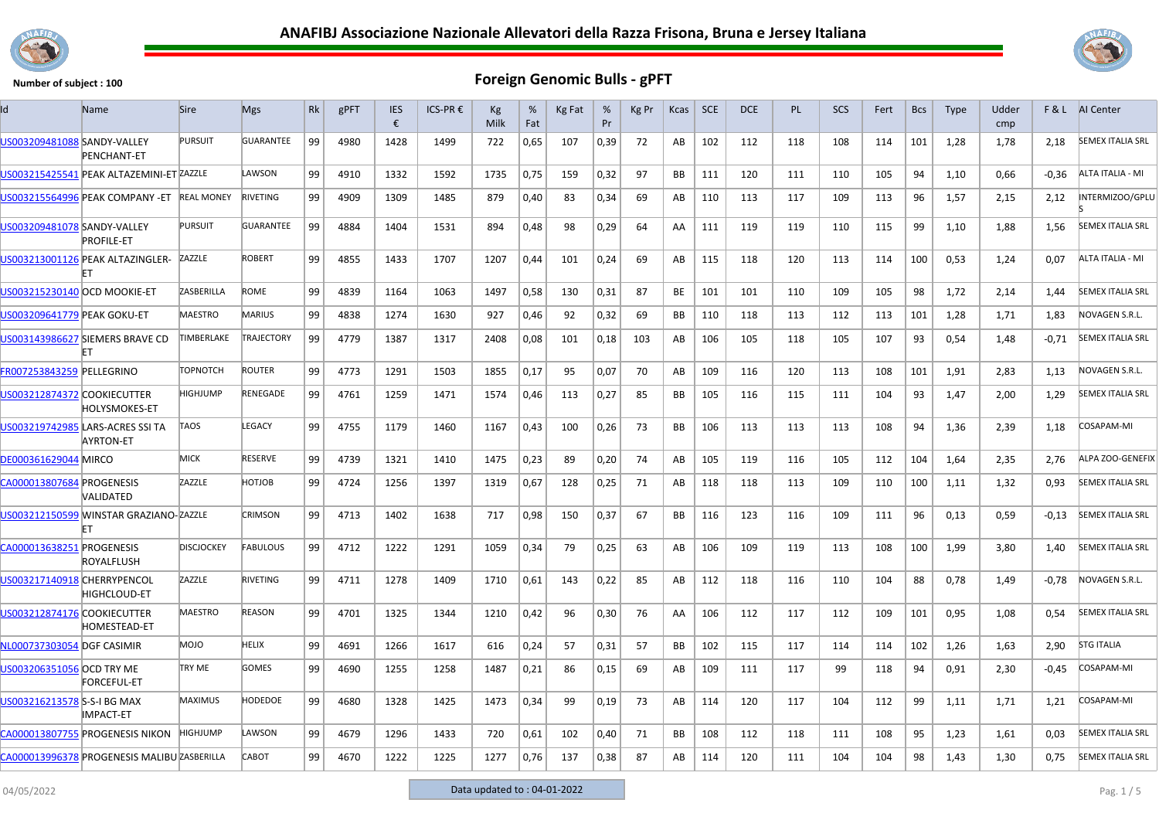



| ld                           | Name                                                 | <b>Sire</b>       | <b>Mgs</b>        | Rk | gPFT | <b>IES</b><br>€ | ICS-PR € | Kg<br>Milk | %<br>Fat | Kg Fat | %<br>Pr | Kg Pr | Kcas      | <b>SCE</b> | <b>DCE</b> | <b>PL</b> | <b>SCS</b> | Fert | <b>Bcs</b> | <b>Type</b> | Udder<br>cmp | F&L     | AI Center               |
|------------------------------|------------------------------------------------------|-------------------|-------------------|----|------|-----------------|----------|------------|----------|--------|---------|-------|-----------|------------|------------|-----------|------------|------|------------|-------------|--------------|---------|-------------------------|
| US003209481088 SANDY-VALLEY  | <b>PENCHANT-ET</b>                                   | <b>PURSUIT</b>    | <b>GUARANTEE</b>  | 99 | 4980 | 1428            | 1499     | 722        | 0,65     | 107    | 0,39    | 72    | AB        | 102        | 112        | 118       | 108        | 114  | 101        | 1,28        | 1,78         | 2,18    | <b>SEMEX ITALIA SRL</b> |
|                              | US003215425541 PEAK ALTAZEMINI-ET ZAZZLE             |                   | LAWSON            | 99 | 4910 | 1332            | 1592     | 1735       | 0,75     | 159    | 0,32    | 97    | BB        | 111        | 120        | 111       | 110        | 105  | 94         | 1,10        | 0,66         | $-0,36$ | ALTA ITALIA - MI        |
|                              | US003215564996 PEAK COMPANY - ET                     | <b>REAL MONEY</b> | <b>RIVETING</b>   | 99 | 4909 | 1309            | 1485     | 879        | 0,40     | 83     | 0,34    | 69    | AB        | 110        | 113        | 117       | 109        | 113  | 96         | 1,57        | 2,15         | 2,12    | NTERMIZOO/GPLU          |
| US003209481078 SANDY-VALLEY  | <b>PROFILE-ET</b>                                    | <b>PURSUIT</b>    | GUARANTEE         | 99 | 4884 | 1404            | 1531     | 894        | 0,48     | 98     | 0,29    | 64    | AA        | 111        | 119        | 119       | 110        | 115  | 99         | 1,10        | 1,88         | 1,56    | <b>SEMEX ITALIA SRL</b> |
|                              | US003213001126 PEAK ALTAZINGLER-                     | ZAZZLE            | <b>ROBERT</b>     | 99 | 4855 | 1433            | 1707     | 1207       | 0,44     | 101    | 0,24    | 69    | AB        | 115        | 118        | 120       | 113        | 114  | 100        | 0,53        | 1,24         | 0,07    | ALTA ITALIA - MI        |
| US003215230140 OCD MOOKIE-ET |                                                      | ZASBERILLA        | ROME              | 99 | 4839 | 1164            | 1063     | 1497       | 0,58     | 130    | 0,31    | 87    | <b>BE</b> | 101        | 101        | 110       | 109        | 105  | 98         | 1,72        | 2,14         | 1,44    | <b>SEMEX ITALIA SRL</b> |
| US003209641779 PEAK GOKU-ET  |                                                      | <b>MAESTRO</b>    | <b>MARIUS</b>     | 99 | 4838 | 1274            | 1630     | 927        | 0,46     | 92     | 0,32    | 69    | BB        | 110        | 118        | 113       | 112        | 113  | 101        | 1,28        | 1,71         | 1,83    | NOVAGEN S.R.L.          |
|                              | US003143986627 SIEMERS BRAVE CD                      | TIMBERLAKE        | <b>TRAJECTORY</b> | 99 | 4779 | 1387            | 1317     | 2408       | 0,08     | 101    | 0,18    | 103   | AB        | 106        | 105        | 118       | 105        | 107  | 93         | 0,54        | 1,48         | -0,71   | <b>SEMEX ITALIA SRL</b> |
| FR007253843259 PELLEGRINO    |                                                      | <b>TOPNOTCH</b>   | <b>ROUTER</b>     | 99 | 4773 | 1291            | 1503     | 1855       | 0,17     | 95     | 0,07    | 70    | AB        | 109        | 116        | 120       | 113        | 108  | 101        | 1,91        | 2,83         | 1,13    | NOVAGEN S.R.L.          |
| US003212874372 COOKIECUTTER  | HOLYSMOKES-ET                                        | HIGHJUMP          | RENEGADE          | 99 | 4761 | 1259            | 1471     | 1574       | 0,46     | 113    | 0,27    | 85    | BB        | 105        | 116        | 115       | 111        | 104  | 93         | 1,47        | 2,00         | 1,29    | <b>SEMEX ITALIA SRL</b> |
|                              | US003219742985 LARS-ACRES SSI TA<br><b>AYRTON-ET</b> | TAOS              | LEGACY            | 99 | 4755 | 1179            | 1460     | 1167       | 0,43     | 100    | 0,26    | 73    | BB        | 106        | 113        | 113       | 113        | 108  | 94         | 1,36        | 2,39         | 1,18    | COSAPAM-MI              |
| DE000361629044 MIRCO         |                                                      | <b>MICK</b>       | <b>RESERVE</b>    | 99 | 4739 | 1321            | 1410     | 1475       | 0,23     | 89     | 0,20    | 74    | AB        | 105        | 119        | 116       | 105        | 112  | 104        | 1,64        | 2,35         | 2,76    | ALPA ZOO-GENEFIX        |
| CA000013807684 PROGENESIS    | VALIDATED                                            | ZAZZLE            | HOTJOB            | 99 | 4724 | 1256            | 1397     | 1319       | 0,67     | 128    | 0,25    | 71    | AB        | 118        | 118        | 113       | 109        | 110  | 100        | 1,11        | 1,32         | 0,93    | <b>SEMEX ITALIA SRL</b> |
|                              | US003212150599 WINSTAR GRAZIANO-ZAZZLE<br>FТ         |                   | <b>CRIMSON</b>    | 99 | 4713 | 1402            | 1638     | 717        | 0,98     | 150    | 0,37    | 67    | BB        | 116        | 123        | 116       | 109        | 111  | 96         | 0,13        | 0,59         | $-0,13$ | <b>SEMEX ITALIA SRL</b> |
| CA000013638251 PROGENESIS    | ROYALFLUSH                                           | <b>DISCJOCKEY</b> | <b>FABULOUS</b>   | 99 | 4712 | 1222            | 1291     | 1059       | 0,34     | 79     | 0,25    | 63    | AB        | 106        | 109        | 119       | 113        | 108  | 100        | 1,99        | 3,80         | 1,40    | <b>SEMEX ITALIA SRL</b> |
| US003217140918 CHERRYPENCOL  | <b>HIGHCLOUD-ET</b>                                  | ZAZZLE            | RIVETING          | 99 | 4711 | 1278            | 1409     | 1710       | 0,61     | 143    | 0,22    | 85    | AB        | 112        | 118        | 116       | 110        | 104  | 88         | 0,78        | 1,49         | $-0,78$ | NOVAGEN S.R.L.          |
| US003212874176 COOKIECUTTER  | HOMESTEAD-ET                                         | MAESTRO           | <b>REASON</b>     | 99 | 4701 | 1325            | 1344     | 1210       | 0,42     | 96     | 0,30    | 76    | AA        | 106        | 112        | 117       | 112        | 109  | 101        | 0,95        | 1,08         | 0,54    | <b>SEMEX ITALIA SRL</b> |
| NL000737303054 DGF CASIMIR   |                                                      | <b>MOJO</b>       | HELIX             | 99 | 4691 | 1266            | 1617     | 616        | 0,24     | 57     | 0,31    | 57    | BB        | 102        | 115        | 117       | 114        | 114  | 102        | 1,26        | 1,63         | 2,90    | <b>STG ITALIA</b>       |
| US003206351056 OCD TRY ME    | <b>FORCEFUL-ET</b>                                   | <b>TRY ME</b>     | <b>GOMES</b>      | 99 | 4690 | 1255            | 1258     | 1487       | 0,21     | 86     | 0,15    | 69    | AB        | 109        | 111        | 117       | 99         | 118  | 94         | 0,91        | 2,30         | $-0,45$ | COSAPAM-MI              |
| US003216213578 S-S-I BG MAX  | IMPACT-ET                                            | <b>MAXIMUS</b>    | <b>HODEDOE</b>    | 99 | 4680 | 1328            | 1425     | 1473       | 0,34     | 99     | 0,19    | 73    | AB        | 114        | 120        | 117       | 104        | 112  | 99         | 1,11        | 1,71         | 1,21    | COSAPAM-MI              |
|                              | CA000013807755 PROGENESIS NIKON                      | <b>HIGHJUMP</b>   | LAWSON            | 99 | 4679 | 1296            | 1433     | 720        | 0,61     | 102    | 0,40    | 71    | BB        | 108        | 112        | 118       | 111        | 108  | 95         | 1,23        | 1,61         | 0,03    | <b>SEMEX ITALIA SRL</b> |
|                              | CA000013996378 PROGENESIS MALIBU ZASBERILLA          |                   | CABOT             | 99 | 4670 | 1222            | 1225     | 1277       | 0,76     | 137    | 0,38    | 87    | AB        | 114        | 120        | 111       | 104        | 104  | 98         | 1,43        | 1,30         | 0,75    | <b>SEMEX ITALIA SRL</b> |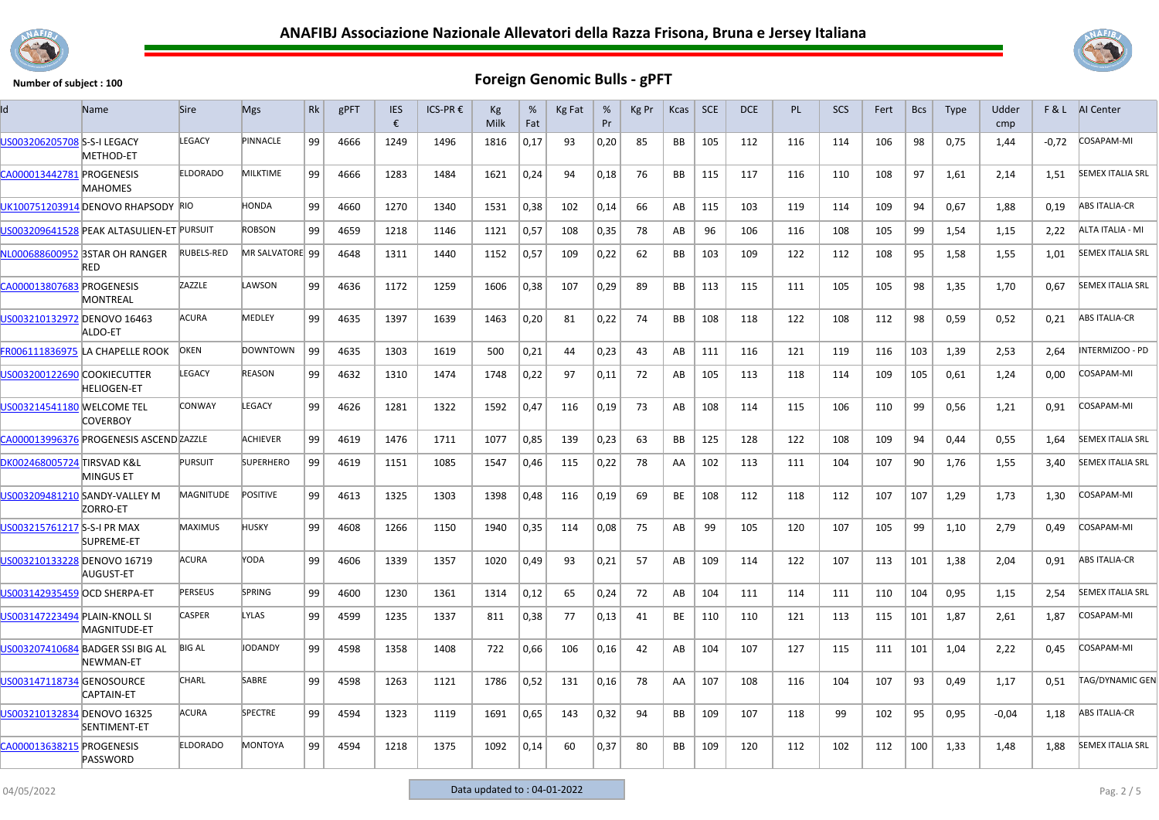



| Id                            | Name                                          | <b>Sire</b>       | <b>Mgs</b>       | Rk | gPFT | <b>IES</b><br>€ | ICS-PR € | Kg<br>Milk | %<br>Fat | Kg Fat | %<br>Pr | Kg Pr | Kcas      | <b>SCE</b> | DCE | PL. | <b>SCS</b> | Fert | <b>Bcs</b> | <b>Type</b> | Udder<br>cmp |       | F & L AI Center         |
|-------------------------------|-----------------------------------------------|-------------------|------------------|----|------|-----------------|----------|------------|----------|--------|---------|-------|-----------|------------|-----|-----|------------|------|------------|-------------|--------------|-------|-------------------------|
| US003206205708 S-S-I LEGACY   | METHOD-ET                                     | LEGACY            | PINNACLE         | 99 | 4666 | 1249            | 1496     | 1816       | 0,17     | 93     | 0,20    | 85    | BB        | 105        | 112 | 116 | 114        | 106  | 98         | 0,75        | 1,44         | -0,72 | COSAPAM-MI              |
| CA000013442781 PROGENESIS     | <b>MAHOMES</b>                                | <b>ELDORADO</b>   | MILKTIME         | 99 | 4666 | 1283            | 1484     | 1621       | 0,24     | 94     | 0,18    | 76    | BB        | 115        | 117 | 116 | 110        | 108  | 97         | 1,61        | 2,14         | 1,51  | <b>SEMEX ITALIA SRL</b> |
|                               | UK100751203914 DENOVO RHAPSODY RIO            |                   | HONDA            | 99 | 4660 | 1270            | 1340     | 1531       | 0,38     | 102    | 0,14    | 66    | AB        | 115        | 103 | 119 | 114        | 109  | 94         | 0,67        | 1,88         | 0,19  | <b>ABS ITALIA-CR</b>    |
|                               | US003209641528 PEAK ALTASULIEN-ET PURSUIT     |                   | ROBSON           | 99 | 4659 | 1218            | 1146     | 1121       | 0,57     | 108    | 0,35    | 78    | AB        | 96         | 106 | 116 | 108        | 105  | 99         | 1,54        | 1,15         | 2,22  | ALTA ITALIA - MI        |
|                               | NL000688600952 3STAR OH RANGER<br><b>RED</b>  | <b>RUBELS-RED</b> | MR SALVATORE 99  |    | 4648 | 1311            | 1440     | 1152       | 0,57     | 109    | 0,22    | 62    | BB        | 103        | 109 | 122 | 112        | 108  | 95         | 1,58        | 1,55         | 1,01  | <b>SEMEX ITALIA SRL</b> |
| CA000013807683                | <b>PROGENESIS</b><br>MONTREAL                 | ZAZZLE            | LAWSON           | 99 | 4636 | 1172            | 1259     | 1606       | 0,38     | 107    | 0,29    | 89    | BB        | 113        | 115 | 111 | 105        | 105  | 98         | 1,35        | 1,70         | 0,67  | <b>SEMEX ITALIA SRL</b> |
| US003210132972 DENOVO 16463   | ALDO-ET                                       | <b>ACURA</b>      | MEDLEY           | 99 | 4635 | 1397            | 1639     | 1463       | 0,20     | 81     | 0,22    | 74    | <b>BB</b> | 108        | 118 | 122 | 108        | 112  | 98         | 0,59        | 0,52         | 0,21  | <b>ABS ITALIA-CR</b>    |
|                               | FR006111836975 LA CHAPELLE ROOK               | <b>OKEN</b>       | <b>DOWNTOWN</b>  | 99 | 4635 | 1303            | 1619     | 500        | 0,21     | 44     | 0,23    | 43    | AB        | 111        | 116 | 121 | 119        | 116  | 103        | 1,39        | 2.53         | 2.64  | INTERMIZOO - PD         |
| US003200122690 COOKIECUTTER   | <b>HELIOGEN-ET</b>                            | LEGACY            | <b>REASON</b>    | 99 | 4632 | 1310            | 1474     | 1748       | 0,22     | 97     | 0,11    | 72    | AB        | 105        | 113 | 118 | 114        | 109  | 105        | 0,61        | 1,24         | 0,00  | COSAPAM-MI              |
| US003214541180 WELCOME TEL    | COVERBOY                                      | <b>CONWAY</b>     | LEGACY           | 99 | 4626 | 1281            | 1322     | 1592       | 0,47     | 116    | 0,19    | 73    | AB        | 108        | 114 | 115 | 106        | 110  | 99         | 0,56        | 1,21         | 0,91  | COSAPAM-MI              |
|                               | CA000013996376 PROGENESIS ASCEND ZAZZLE       |                   | <b>ACHIEVER</b>  | 99 | 4619 | 1476            | 1711     | 1077       | 0,85     | 139    | 0,23    | 63    | <b>BB</b> | 125        | 128 | 122 | 108        | 109  | 94         | 0.44        | 0,55         | 1,64  | <b>SEMEX ITALIA SRL</b> |
| DK002468005724 TIRSVAD K&L    | <b>MINGUS ET</b>                              | <b>PURSUIT</b>    | <b>SUPERHERO</b> | 99 | 4619 | 1151            | 1085     | 1547       | 0,46     | 115    | 0,22    | 78    | AA        | 102        | 113 | 111 | 104        | 107  | 90         | 1,76        | 1,55         | 3,40  | <b>SEMEX ITALIA SRL</b> |
|                               | JS003209481210 SANDY-VALLEY M<br>ZORRO-ET     | MAGNITUDE         | <b>POSITIVE</b>  | 99 | 4613 | 1325            | 1303     | 1398       | 0,48     | 116    | 0,19    | 69    | BE        | 108        | 112 | 118 | 112        | 107  | 107        | 1,29        | 1,73         | 1,30  | COSAPAM-MI              |
| US003215761217 S-S-I PR MAX   | SUPREME-ET                                    | <b>MAXIMUS</b>    | HUSKY            | 99 | 4608 | 1266            | 1150     | 1940       | 0,35     | 114    | 0,08    | 75    | AB        | 99         | 105 | 120 | 107        | 105  | 99         | 1,10        | 2,79         | 0,49  | COSAPAM-MI              |
| US003210133228 DENOVO 16719   | AUGUST-ET                                     | ACURA             | YODA             | 99 | 4606 | 1339            | 1357     | 1020       | 0,49     | 93     | 0,21    | 57    | AB        | 109        | 114 | 122 | 107        | 113  | 101        | 1,38        | 2,04         | 0,91  | <b>ABS ITALIA-CR</b>    |
| US003142935459 OCD SHERPA-ET  |                                               | <b>PERSEUS</b>    | <b>SPRING</b>    | 99 | 4600 | 1230            | 1361     | 1314       | 0,12     | 65     | 0,24    | 72    | AB        | 104        | 111 | 114 | 111        | 110  | 104        | 0.95        | 1.15         | 2,54  | <b>SEMEX ITALIA SRL</b> |
| US003147223494 PLAIN-KNOLL SI | MAGNITUDE-ET                                  | <b>CASPER</b>     | LYLAS            | 99 | 4599 | 1235            | 1337     | 811        | 0,38     | 77     | 0,13    | 41    | <b>BE</b> | 110        | 110 | 121 | 113        | 115  | 101        | 1,87        | 2,61         | 1,87  | COSAPAM-MI              |
|                               | US003207410684 BADGER SSI BIG AL<br>NEWMAN-ET | <b>BIG AL</b>     | <b>JODANDY</b>   | 99 | 4598 | 1358            | 1408     | 722        | 0,66     | 106    | 0,16    | 42    | AB        | 104        | 107 | 127 | 115        | 111  | 101        | 1,04        | 2,22         | 0,45  | <b>COSAPAM-MI</b>       |
| US003147118734 GENOSOURCE     | CAPTAIN-ET                                    | CHARL             | SABRE            | 99 | 4598 | 1263            | 1121     | 1786       | 0,52     | 131    | 0.16    | 78    | AA        | 107        | 108 | 116 | 104        | 107  | 93         | 0,49        | 1.17         | 0.51  | TAG/DYNAMIC GEN         |
| US003210132834 DENOVO 16325   | SENTIMENT-ET                                  | ACURA             | <b>SPECTRE</b>   | 99 | 4594 | 1323            | 1119     | 1691       | 0,65     | 143    | 0,32    | 94    | <b>BB</b> | 109        | 107 | 118 | 99         | 102  | 95         | 0,95        | $-0.04$      | 1,18  | <b>ABS ITALIA-CR</b>    |
| CA000013638215 PROGENESIS     | PASSWORD                                      | <b>ELDORADO</b>   | <b>MONTOYA</b>   | 99 | 4594 | 1218            | 1375     | 1092       | 0,14     | 60     | 0.37    | 80    | <b>BB</b> | 109        | 120 | 112 | 102        | 112  | 100        | 1,33        | 1,48         | 1.88  | <b>SEMEX ITALIA SRL</b> |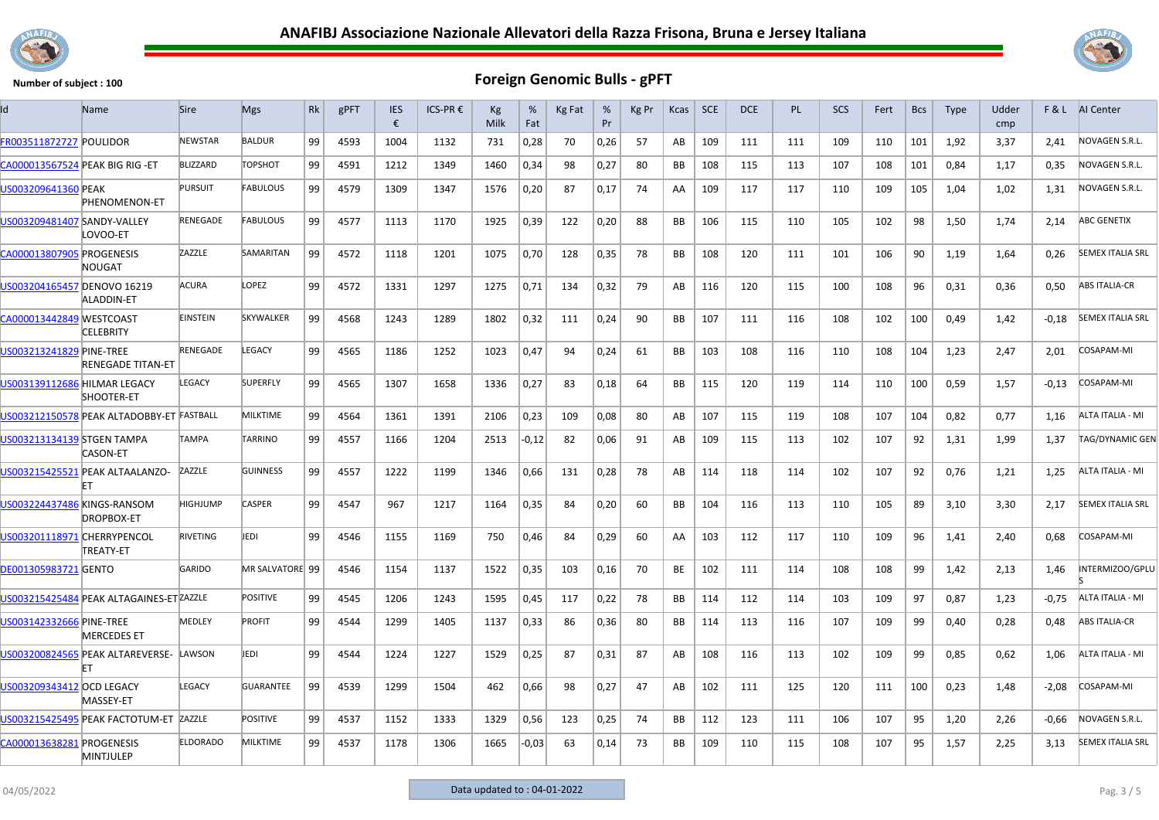



| ld                               | <b>Name</b>                               | <b>Sire</b>     | <b>Mgs</b>       | Rk | gPFT | <b>IES</b><br>€ | ICS-PR € | Kg<br>Milk | %<br>Fat | Kg Fat | %<br>Pr | Kg Pr | Kcas      | <b>SCE</b> | <b>DCE</b> | PL  | SCS | Fert | <b>Bcs</b> | <b>Type</b> | Udder<br>cmp |         | F & L AI Center         |
|----------------------------------|-------------------------------------------|-----------------|------------------|----|------|-----------------|----------|------------|----------|--------|---------|-------|-----------|------------|------------|-----|-----|------|------------|-------------|--------------|---------|-------------------------|
| FR003511872727 POULIDOR          |                                           | <b>NEWSTAR</b>  | <b>BALDUR</b>    | 99 | 4593 | 1004            | 1132     | 731        | 0,28     | 70     | 0,26    | 57    | AB        | 109        | 111        | 111 | 109 | 110  | 101        | 1,92        | 3,37         | 2,41    | NOVAGEN S.R.L.          |
| CA000013567524 PEAK BIG RIG - ET |                                           | <b>BLIZZARD</b> | <b>TOPSHOT</b>   | 99 | 4591 | 1212            | 1349     | 1460       | 0,34     | 98     | 0,27    | 80    | <b>BB</b> | 108        | 115        | 113 | 107 | 108  | 101        | 0,84        | 1,17         | 0.35    | NOVAGEN S.R.L.          |
| US003209641360 PEAK              | PHENOMENON-ET                             | <b>PURSUIT</b>  | <b>FABULOUS</b>  | 99 | 4579 | 1309            | 1347     | 1576       | 0,20     | 87     | 0,17    | 74    | AA        | 109        | 117        | 117 | 110 | 109  | 105        | 1,04        | 1,02         | 1,31    | NOVAGEN S.R.L.          |
| US003209481407 SANDY-VALLEY      | LOVOO-ET                                  | RENEGADE        | <b>FABULOUS</b>  | 99 | 4577 | 1113            | 1170     | 1925       | 0,39     | 122    | 0,20    | 88    | BB        | 106        | 115        | 110 | 105 | 102  | 98         | 1,50        | 1,74         | 2,14    | ABC GENETIX             |
| CA000013807905 PROGENESIS        | NOUGAT                                    | ZAZZLE          | SAMARITAN        | 99 | 4572 | 1118            | 1201     | 1075       | 0,70     | 128    | 0,35    | 78    | BB        | 108        | 120        | 111 | 101 | 106  | 90         | 1,19        | 1,64         | 0,26    | <b>SEMEX ITALIA SRL</b> |
| US003204165457 DENOVO 16219      | <b>ALADDIN-ET</b>                         | ACURA           | LOPEZ            | 99 | 4572 | 1331            | 1297     | 1275       | 0,71     | 134    | 0,32    | 79    | AB        | 116        | 120        | 115 | 100 | 108  | 96         | 0,31        | 0,36         | 0,50    | <b>ABS ITALIA-CR</b>    |
| CA000013442849 WESTCOAST         | <b>CELEBRITY</b>                          | <b>EINSTEIN</b> | SKYWALKER        | 99 | 4568 | 1243            | 1289     | 1802       | 0,32     | 111    | 0,24    | 90    | BB        | 107        | 111        | 116 | 108 | 102  | 100        | 0,49        | 1,42         | $-0,18$ | <b>SEMEX ITALIA SRL</b> |
| US003213241829 PINE-TREE         | <b>RENEGADE TITAN-ET</b>                  | RENEGADE        | LEGACY           | 99 | 4565 | 1186            | 1252     | 1023       | 0,47     | 94     | 0,24    | 61    | BB        | 103        | 108        | 116 | 110 | 108  | 104        | 1,23        | 2,47         | 2,01    | COSAPAM-MI              |
| US003139112686 HILMAR LEGACY     | SHOOTER-ET                                | <b>LEGACY</b>   | <b>SUPERFLY</b>  | 99 | 4565 | 1307            | 1658     | 1336       | 0,27     | 83     | 0,18    | 64    | BB        | 115        | 120        | 119 | 114 | 110  | 100        | 0,59        | 1,57         | $-0,13$ | COSAPAM-MI              |
|                                  | US003212150578 PEAK ALTADOBBY-ET FASTBALL |                 | <b>MILKTIME</b>  | 99 | 4564 | 1361            | 1391     | 2106       | 0,23     | 109    | 0.08    | 80    | AB        | 107        | 115        | 119 | 108 | 107  | 104        | 0.82        | 0.77         | 1.16    | ALTA ITALIA - MI        |
| US003213134139 STGEN TAMPA       | <b>CASON-ET</b>                           | TAMPA           | <b>TARRINO</b>   | 99 | 4557 | 1166            | 1204     | 2513       | $-0,12$  | 82     | 0,06    | 91    | AB        | 109        | 115        | 113 | 102 | 107  | 92         | 1,31        | 1,99         | 1,37    | TAG/DYNAMIC GEN         |
|                                  | US003215425521 PEAK ALTAALANZO-           | ZAZZLE          | <b>GUINNESS</b>  | 99 | 4557 | 1222            | 1199     | 1346       | 0,66     | 131    | 0,28    | 78    | AB        | 114        | 118        | 114 | 102 | 107  | 92         | 0,76        | 1,21         | 1,25    | ALTA ITALIA - MI        |
| US003224437486 KINGS-RANSOM      | <b>DROPBOX-ET</b>                         | HIGHJUMP        | <b>CASPER</b>    | 99 | 4547 | 967             | 1217     | 1164       | 0,35     | 84     | 0,20    | 60    | <b>BB</b> | 104        | 116        | 113 | 110 | 105  | 89         | 3,10        | 3,30         | 2,17    | <b>SEMEX ITALIA SRL</b> |
| US003201118971 CHERRYPENCOL      | TREATY-ET                                 | <b>RIVETING</b> | <b>JEDI</b>      | 99 | 4546 | 1155            | 1169     | 750        | 0,46     | 84     | 0,29    | 60    | AA        | 103        | 112        | 117 | 110 | 109  | 96         | 1,41        | 2,40         | 0,68    | COSAPAM-MI              |
| <b>DE001305983721 GENTO</b>      |                                           | GARIDO          | MR SALVATORE 99  |    | 4546 | 1154            | 1137     | 1522       | 0,35     | 103    | 0,16    | 70    | BE        | 102        | 111        | 114 | 108 | 108  | 99         | 1,42        | 2,13         | 1,46    | INTERMIZOO/GPLU         |
|                                  | US003215425484 PEAK ALTAGAINES-ET ZAZZLE  |                 | <b>POSITIVE</b>  | 99 | 4545 | 1206            | 1243     | 1595       | 0,45     | 117    | 0.22    | 78    | <b>BB</b> | 114        | 112        | 114 | 103 | 109  | 97         | 0.87        | 1.23         | $-0.75$ | ALTA ITALIA - MI        |
| US003142332666 PINE-TREE         | <b>MERCEDES ET</b>                        | <b>MEDLEY</b>   | <b>PROFIT</b>    | 99 | 4544 | 1299            | 1405     | 1137       | 0,33     | 86     | 0,36    | 80    | BB        | 114        | 113        | 116 | 107 | 109  | 99         | 0,40        | 0,28         | 0,48    | <b>ABS ITALIA-CR</b>    |
|                                  | US003200824565 PEAK ALTAREVERSE-<br>FT    | LAWSON          | JEDI             | 99 | 4544 | 1224            | 1227     | 1529       | 0,25     | 87     | 0,31    | 87    | AB        | 108        | 116        | 113 | 102 | 109  | 99         | 0,85        | 0,62         | 1,06    | ALTA ITALIA - MI        |
| US003209343412 OCD LEGACY        | MASSEY-ET                                 | LEGACY          | <b>GUARANTEE</b> | 99 | 4539 | 1299            | 1504     | 462        | 0,66     | 98     | 0,27    | 47    | AB        | 102        | 111        | 125 | 120 | 111  | 100        | 0,23        | 1,48         | $-2,08$ | COSAPAM-MI              |
|                                  | US003215425495 PEAK FACTOTUM-ET           | ZAZZLE          | <b>POSITIVE</b>  | 99 | 4537 | 1152            | 1333     | 1329       | 0,56     | 123    | 0,25    | 74    | BB        | 112        | 123        | 111 | 106 | 107  | 95         | 1,20        | 2,26         | $-0,66$ | NOVAGEN S.R.L.          |
| CA000013638281 PROGENESIS        | MINTJULEP                                 | <b>ELDORADO</b> | <b>MILKTIME</b>  | 99 | 4537 | 1178            | 1306     | 1665       | -0,03    | 63     | 0,14    | 73    | BB        | 109        | 110        | 115 | 108 | 107  | 95         | 1,57        | 2,25         | 3,13    | <b>SEMEX ITALIA SRL</b> |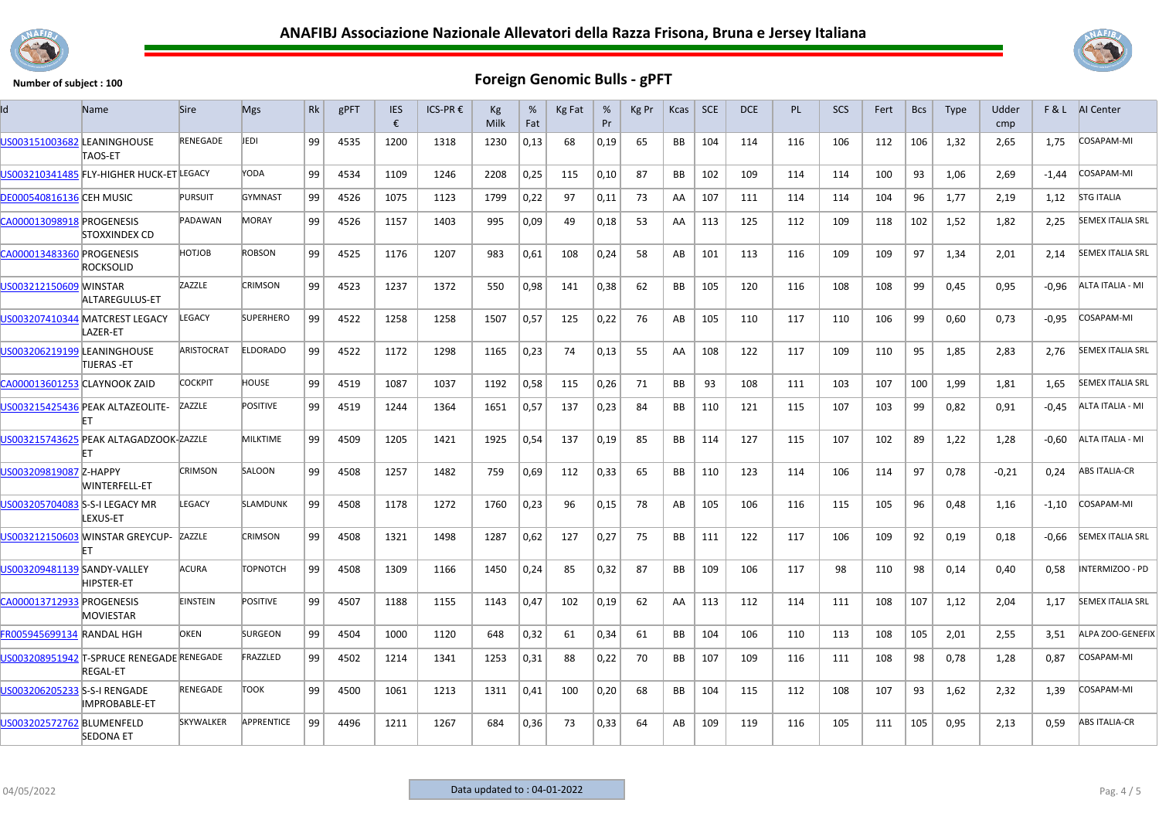



| Id                              | <b>Name</b>                                                  | <b>Sire</b>      | <b>Mgs</b>        | <b>Rk</b> | gPFT | <b>IES</b><br>€ | ICS-PR € | Kg<br>Milk | %<br>Fat | Kg Fat | %<br>Pr | Kg Pr | Kcas      | <b>SCE</b> | DCE | <b>PL</b> | <b>SCS</b> | Fert | <b>Bcs</b> | <b>Type</b> | Udder<br>cmp |         | F & L AI Center         |
|---------------------------------|--------------------------------------------------------------|------------------|-------------------|-----------|------|-----------------|----------|------------|----------|--------|---------|-------|-----------|------------|-----|-----------|------------|------|------------|-------------|--------------|---------|-------------------------|
| US003151003682 LEANINGHOUSE     | TAOS-ET                                                      | <b>RENEGADE</b>  | JEDI              | 99        | 4535 | 1200            | 1318     | 1230       | 0,13     | 68     | 0,19    | 65    | <b>BB</b> | 104        | 114 | 116       | 106        | 112  | 106        | 1,32        | 2,65         | 1,75    | <b>COSAPAM-MI</b>       |
|                                 | US003210341485 FLY-HIGHER HUCK-ET LEGACY                     |                  | YODA              | 99        | 4534 | 1109            | 1246     | 2208       | 0,25     | 115    | 0,10    | 87    | <b>BB</b> | 102        | 109 | 114       | 114        | 100  | 93         | 1,06        | 2.69         | $-1,44$ | COSAPAM-MI              |
| <b>DE000540816136 CEH MUSIC</b> |                                                              | <b>PURSUIT</b>   | <b>GYMNAST</b>    | 99        | 4526 | 1075            | 1123     | 1799       | 0,22     | 97     | 0,11    | 73    | AA        | 107        | 111 | 114       | 114        | 104  | 96         | 1,77        | 2,19         | 1,12    | <b>STG ITALIA</b>       |
| CA000013098918 PROGENESIS       | STOXXINDEX CD                                                | PADAWAN          | <b>MORAY</b>      | 99        | 4526 | 1157            | 1403     | 995        | 0,09     | 49     | 0,18    | 53    | AA        | 113        | 125 | 112       | 109        | 118  | 102        | 1,52        | 1,82         | 2,25    | <b>SEMEX ITALIA SRL</b> |
| CA000013483360 PROGENESIS       | <b>ROCKSOLID</b>                                             | HOTJOB           | <b>ROBSON</b>     | 99        | 4525 | 1176            | 1207     | 983        | 0,61     | 108    | 0,24    | 58    | AB        | 101        | 113 | 116       | 109        | 109  | 97         | 1,34        | 2,01         | 2,14    | <b>SEMEX ITALIA SRL</b> |
| US003212150609 MINSTAR          | ALTAREGULUS-ET                                               | ZAZZLE           | <b>CRIMSON</b>    | 99        | 4523 | 1237            | 1372     | 550        | 0,98     | 141    | 0,38    | 62    | <b>BB</b> | 105        | 120 | 116       | 108        | 108  | 99         | 0,45        | 0,95         | $-0.96$ | ALTA ITALIA - MI        |
|                                 | US003207410344 MATCREST LEGACY<br>AZER-ET                    | <b>EGACY</b>     | <b>SUPERHERO</b>  | 99        | 4522 | 1258            | 1258     | 1507       | 0,57     | 125    | 0,22    | 76    | AB        | 105        | 110 | 117       | 110        | 106  | 99         | 0,60        | 0,73         | -0,95   | COSAPAM-MI              |
| US003206219199 LEANINGHOUSE     | TIJERAS -ET                                                  | ARISTOCRAT       | <b>ELDORADO</b>   | 99        | 4522 | 1172            | 1298     | 1165       | 0,23     | 74     | 0,13    | 55    | AA        | 108        | 122 | 117       | 109        | 110  | 95         | 1,85        | 2,83         | 2,76    | <b>SEMEX ITALIA SRL</b> |
| CA000013601253 CLAYNOOK ZAID    |                                                              | COCKPIT          | HOUSE             | 99        | 4519 | 1087            | 1037     | 1192       | 0,58     | 115    | 0,26    | 71    | BB        | 93         | 108 | 111       | 103        | 107  | 100        | 1,99        | 1,81         | 1,65    | <b>SEMEX ITALIA SRL</b> |
|                                 | US003215425436 PEAK ALTAZEOLITE-                             | ZAZZLE           | <b>POSITIVE</b>   | 99        | 4519 | 1244            | 1364     | 1651       | 0,57     | 137    | 0,23    | 84    | BB        | 110        | 121 | 115       | 107        | 103  | 99         | 0,82        | 0,91         | $-0,45$ | ALTA ITALIA - MI        |
|                                 | US003215743625 PEAK ALTAGADZOOK-ZAZZLE                       |                  | <b>MILKTIME</b>   | 99        | 4509 | 1205            | 1421     | 1925       | 0,54     | 137    | 0,19    | 85    | <b>BB</b> | 114        | 127 | 115       | 107        | 102  | 89         | 1,22        | 1,28         | $-0,60$ | ALTA ITALIA - MI        |
| US003209819087 Z-HAPPY          | <b>WINTERFELL-ET</b>                                         | <b>CRIMSON</b>   | SALOON            | 99        | 4508 | 1257            | 1482     | 759        | 0,69     | 112    | 0,33    | 65    | <b>BB</b> | 110        | 123 | 114       | 106        | 114  | 97         | 0,78        | $-0,21$      | 0,24    | <b>ABS ITALIA-CR</b>    |
| US003205704083 S-S-I LEGACY MR  | LEXUS-ET                                                     | <b>EGACY</b>     | <b>SLAMDUNK</b>   | 99        | 4508 | 1178            | 1272     | 1760       | 0,23     | 96     | 0,15    | 78    | AB        | 105        | 106 | 116       | 115        | 105  | 96         | 0.48        | 1.16         | $-1,10$ | COSAPAM-MI              |
|                                 | US003212150603 WINSTAR GREYCUP-<br>FT                        | ZAZZLE           | <b>CRIMSON</b>    | 99        | 4508 | 1321            | 1498     | 1287       | 0,62     | 127    | 0,27    | 75    | <b>BB</b> | 111        | 122 | 117       | 106        | 109  | 92         | 0,19        | 0,18         | $-0,66$ | <b>SEMEX ITALIA SRL</b> |
| US003209481139 SANDY-VALLEY     | <b>HIPSTER-ET</b>                                            | ACURA            | <b>TOPNOTCH</b>   | 99        | 4508 | 1309            | 1166     | 1450       | 0,24     | 85     | 0,32    | 87    | BB        | 109        | 106 | 117       | 98         | 110  | 98         | 0,14        | 0,40         | 0,58    | INTERMIZOO - PD         |
| CA000013712933 PROGENESIS       | <b>MOVIESTAR</b>                                             | <b>EINSTEIN</b>  | <b>POSITIVE</b>   | 99        | 4507 | 1188            | 1155     | 1143       | 0,47     | 102    | 0,19    | 62    | AA        | 113        | 112 | 114       | 111        | 108  | 107        | 1,12        | 2,04         | 1,17    | <b>SEMEX ITALIA SRL</b> |
| FR005945699134 RANDAL HGH       |                                                              | <b>OKEN</b>      | <b>SURGEON</b>    | 99        | 4504 | 1000            | 1120     | 648        | 0,32     | 61     | 0,34    | 61    | BB        | 104        | 106 | 110       | 113        | 108  | 105        | 2,01        | 2,55         | 3,51    | ALPA ZOO-GENEFIX        |
|                                 | US003208951942 T-SPRUCE RENEGADE RENEGADE<br><b>REGAL-ET</b> |                  | FRAZZLED          | 99        | 4502 | 1214            | 1341     | 1253       | 0,31     | 88     | 0,22    | 70    | BB        | 107        | 109 | 116       | 111        | 108  | 98         | 0,78        | 1,28         | 0,87    | COSAPAM-MI              |
| US003206205233 S-S-I RENGADE    | <b>IMPROBABLE-ET</b>                                         | RENEGADE         | тоок              | 99        | 4500 | 1061            | 1213     | 1311       | 0,41     | 100    | 0,20    | 68    | BB        | 104        | 115 | 112       | 108        | 107  | 93         | 1,62        | 2,32         | 1,39    | COSAPAM-MI              |
| US003202572762 BLUMENFELD       | <b>SEDONA ET</b>                                             | <b>SKYWALKER</b> | <b>APPRENTICE</b> | 99        | 4496 | 1211            | 1267     | 684        | 0,36     | 73     | 0.33    | 64    | AB        | 109        | 119 | 116       | 105        | 111  | 105        | 0,95        | 2,13         | 0.59    | <b>ABS ITALIA-CR</b>    |